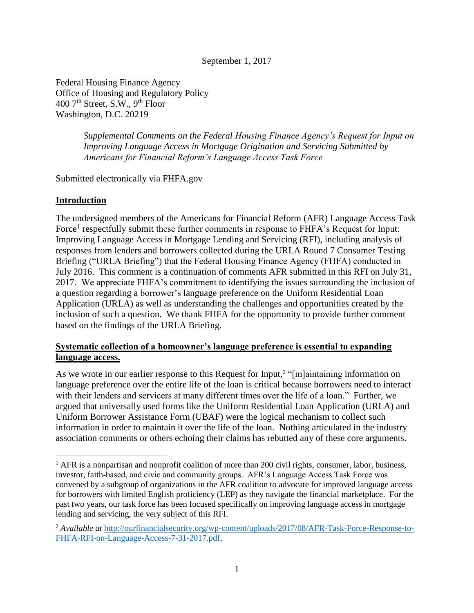September 1, 2017

Federal Housing Finance Agency Office of Housing and Regulatory Policy  $400$  7<sup>th</sup> Street, S.W., 9<sup>th</sup> Floor Washington, D.C. 20219

> *Supplemental Comments on the Federal Housing Finance Agency's Request for Input on Improving Language Access in Mortgage Origination and Servicing Submitted by Americans for Financial Reform's Language Access Task Force*

Submitted electronically via FHFA.gov

## **Introduction**

 $\overline{a}$ 

The undersigned members of the Americans for Financial Reform (AFR) Language Access Task Force<sup>1</sup> respectfully submit these further comments in response to FHFA's Request for Input: Improving Language Access in Mortgage Lending and Servicing (RFI), including analysis of responses from lenders and borrowers collected during the URLA Round 7 Consumer Testing Briefing ("URLA Briefing") that the Federal Housing Finance Agency (FHFA) conducted in July 2016. This comment is a continuation of comments AFR submitted in this RFI on July 31, 2017. We appreciate FHFA's commitment to identifying the issues surrounding the inclusion of a question regarding a borrower's language preference on the Uniform Residential Loan Application (URLA) as well as understanding the challenges and opportunities created by the inclusion of such a question. We thank FHFA for the opportunity to provide further comment based on the findings of the URLA Briefing.

## **Systematic collection of a homeowner's language preference is essential to expanding language access.**

As we wrote in our earlier response to this Request for Input,<sup>2</sup> "[m]aintaining information on language preference over the entire life of the loan is critical because borrowers need to interact with their lenders and servicers at many different times over the life of a loan." Further, we argued that universally used forms like the Uniform Residential Loan Application (URLA) and Uniform Borrower Assistance Form (UBAF) were the logical mechanism to collect such information in order to maintain it over the life of the loan. Nothing articulated in the industry association comments or others echoing their claims has rebutted any of these core arguments.

<sup>&</sup>lt;sup>1</sup> AFR is a nonpartisan and nonprofit coalition of more than 200 civil rights, consumer, labor, business, investor, faith-based, and civic and community groups. AFR's Language Access Task Force was convened by a subgroup of organizations in the AFR coalition to advocate for improved language access for borrowers with limited English proficiency (LEP) as they navigate the financial marketplace. For the past two years, our task force has been focused specifically on improving language access in mortgage lending and servicing, the very subject of this RFI.

<sup>2</sup> *Available at* [http://ourfinancialsecurity.org/wp-content/uploads/2017/08/AFR-Task-Force-Response-to-](http://ourfinancialsecurity.org/wp-content/uploads/2017/08/AFR-Task-Force-Response-to-FHFA-RFI-on-Language-Access-7-31-2017.pdf)[FHFA-RFI-on-Language-Access-7-31-2017.pdf.](http://ourfinancialsecurity.org/wp-content/uploads/2017/08/AFR-Task-Force-Response-to-FHFA-RFI-on-Language-Access-7-31-2017.pdf)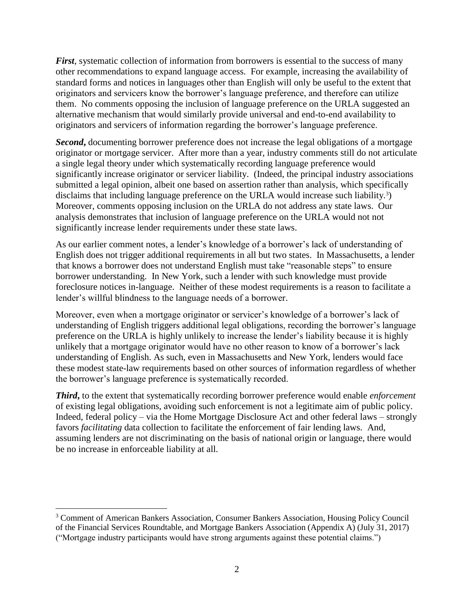*First*, systematic collection of information from borrowers is essential to the success of many other recommendations to expand language access. For example, increasing the availability of standard forms and notices in languages other than English will only be useful to the extent that originators and servicers know the borrower's language preference, and therefore can utilize them. No comments opposing the inclusion of language preference on the URLA suggested an alternative mechanism that would similarly provide universal and end-to-end availability to originators and servicers of information regarding the borrower's language preference.

**Second**, documenting borrower preference does not increase the legal obligations of a mortgage originator or mortgage servicer. After more than a year, industry comments still do not articulate a single legal theory under which systematically recording language preference would significantly increase originator or servicer liability. (Indeed, the principal industry associations submitted a legal opinion, albeit one based on assertion rather than analysis, which specifically disclaims that including language preference on the URLA would increase such liability.<sup>3</sup>) Moreover, comments opposing inclusion on the URLA do not address any state laws. Our analysis demonstrates that inclusion of language preference on the URLA would not not significantly increase lender requirements under these state laws.

As our earlier comment notes, a lender's knowledge of a borrower's lack of understanding of English does not trigger additional requirements in all but two states. In Massachusetts, a lender that knows a borrower does not understand English must take "reasonable steps" to ensure borrower understanding. In New York, such a lender with such knowledge must provide foreclosure notices in-language. Neither of these modest requirements is a reason to facilitate a lender's willful blindness to the language needs of a borrower.

Moreover, even when a mortgage originator or servicer's knowledge of a borrower's lack of understanding of English triggers additional legal obligations, recording the borrower's language preference on the URLA is highly unlikely to increase the lender's liability because it is highly unlikely that a mortgage originator would have no other reason to know of a borrower's lack understanding of English. As such, even in Massachusetts and New York, lenders would face these modest state-law requirements based on other sources of information regardless of whether the borrower's language preference is systematically recorded.

*Third***,** to the extent that systematically recording borrower preference would enable *enforcement* of existing legal obligations, avoiding such enforcement is not a legitimate aim of public policy. Indeed, federal policy – via the Home Mortgage Disclosure Act and other federal laws – strongly favors *facilitating* data collection to facilitate the enforcement of fair lending laws. And, assuming lenders are not discriminating on the basis of national origin or language, there would be no increase in enforceable liability at all.

l

<sup>3</sup> Comment of American Bankers Association, Consumer Bankers Association, Housing Policy Council of the Financial Services Roundtable, and Mortgage Bankers Association (Appendix A) (July 31, 2017) ("Mortgage industry participants would have strong arguments against these potential claims.")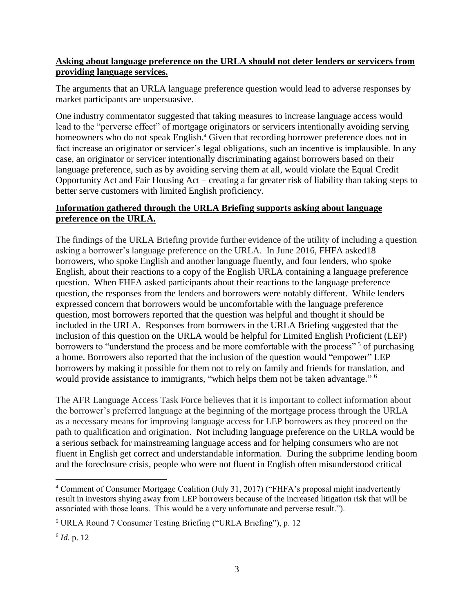## **Asking about language preference on the URLA should not deter lenders or servicers from providing language services.**

The arguments that an URLA language preference question would lead to adverse responses by market participants are unpersuasive.

One industry commentator suggested that taking measures to increase language access would lead to the "perverse effect" of mortgage originators or servicers intentionally avoiding serving homeowners who do not speak English.<sup>4</sup> Given that recording borrower preference does not in fact increase an originator or servicer's legal obligations, such an incentive is implausible. In any case, an originator or servicer intentionally discriminating against borrowers based on their language preference, such as by avoiding serving them at all, would violate the Equal Credit Opportunity Act and Fair Housing Act – creating a far greater risk of liability than taking steps to better serve customers with limited English proficiency.

# **Information gathered through the URLA Briefing supports asking about language preference on the URLA.**

The findings of the URLA Briefing provide further evidence of the utility of including a question asking a borrower's language preference on the URLA. In June 2016, FHFA asked18 borrowers, who spoke English and another language fluently, and four lenders, who spoke English, about their reactions to a copy of the English URLA containing a language preference question. When FHFA asked participants about their reactions to the language preference question, the responses from the lenders and borrowers were notably different. While lenders expressed concern that borrowers would be uncomfortable with the language preference question, most borrowers reported that the question was helpful and thought it should be included in the URLA. Responses from borrowers in the URLA Briefing suggested that the inclusion of this question on the URLA would be helpful for Limited English Proficient (LEP) borrowers to "understand the process and be more comfortable with the process"<sup>5</sup> of purchasing a home. Borrowers also reported that the inclusion of the question would "empower" LEP borrowers by making it possible for them not to rely on family and friends for translation, and would provide assistance to immigrants, "which helps them not be taken advantage."<sup>6</sup>

The AFR Language Access Task Force believes that it is important to collect information about the borrower's preferred language at the beginning of the mortgage process through the URLA as a necessary means for improving language access for LEP borrowers as they proceed on the path to qualification and origination. Not including language preference on the URLA would be a serious setback for mainstreaming language access and for helping consumers who are not fluent in English get correct and understandable information. During the subprime lending boom and the foreclosure crisis, people who were not fluent in English often misunderstood critical

 $\overline{\phantom{a}}$ <sup>4</sup> Comment of Consumer Mortgage Coalition (July 31, 2017) ("FHFA's proposal might inadvertently result in investors shying away from LEP borrowers because of the increased litigation risk that will be associated with those loans. This would be a very unfortunate and perverse result.").

<sup>5</sup> URLA Round 7 Consumer Testing Briefing ("URLA Briefing"), p. 12

<sup>6</sup> *Id*. p. 12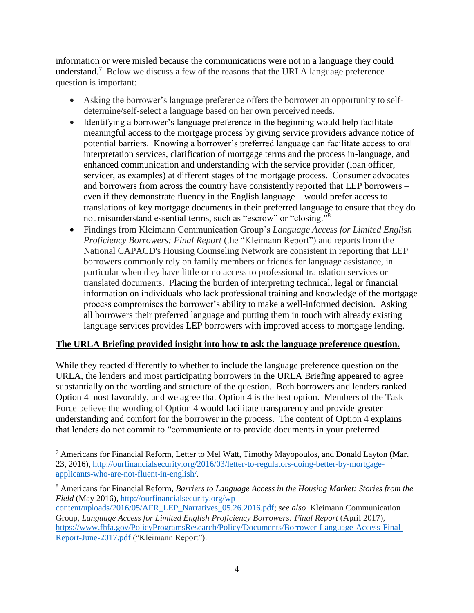information or were misled because the communications were not in a language they could understand.<sup>7</sup> Below we discuss a few of the reasons that the URLA language preference question is important:

- Asking the borrower's language preference offers the borrower an opportunity to selfdetermine/self-select a language based on her own perceived needs.
- Identifying a borrower's language preference in the beginning would help facilitate meaningful access to the mortgage process by giving service providers advance notice of potential barriers. Knowing a borrower's preferred language can facilitate access to oral interpretation services, clarification of mortgage terms and the process in-language, and enhanced communication and understanding with the service provider (loan officer, servicer, as examples) at different stages of the mortgage process. Consumer advocates and borrowers from across the country have consistently reported that LEP borrowers – even if they demonstrate fluency in the English language – would prefer access to translations of key mortgage documents in their preferred language to ensure that they do not misunderstand essential terms, such as "escrow" or "closing."<sup>8</sup>
- Findings from Kleimann Communication Group's *Language Access for Limited English Proficiency Borrowers: Final Report* (the "Kleimann Report") and reports from the National CAPACD's Housing Counseling Network are consistent in reporting that LEP borrowers commonly rely on family members or friends for language assistance, in particular when they have little or no access to professional translation services or translated documents. Placing the burden of interpreting technical, legal or financial information on individuals who lack professional training and knowledge of the mortgage process compromises the borrower's ability to make a well-informed decision. Asking all borrowers their preferred language and putting them in touch with already existing language services provides LEP borrowers with improved access to mortgage lending.

## **The URLA Briefing provided insight into how to ask the language preference question.**

While they reacted differently to whether to include the language preference question on the URLA, the lenders and most participating borrowers in the URLA Briefing appeared to agree substantially on the wording and structure of the question. Both borrowers and lenders ranked Option 4 most favorably, and we agree that Option 4 is the best option. Members of the Task Force believe the wording of Option 4 would facilitate transparency and provide greater understanding and comfort for the borrower in the process. The content of Option 4 explains that lenders do not commit to "communicate or to provide documents in your preferred

 $\overline{a}$ 

[content/uploads/2016/05/AFR\\_LEP\\_Narratives\\_05.26.2016.pdf;](http://ourfinancialsecurity.org/wp-content/uploads/2016/05/AFR_LEP_Narratives_05.26.2016.pdf) *see also* Kleimann Communication Group, *Language Access for Limited English Proficiency Borrowers: Final Report* (April 2017), [https://www.fhfa.gov/PolicyProgramsResearch/Policy/Documents/Borrower-Language-Access-Final-](https://www.fhfa.gov/PolicyProgramsResearch/Policy/Documents/Borrower-Language-Access-Final-Report-June-2017.pdf)[Report-June-2017.pdf](https://www.fhfa.gov/PolicyProgramsResearch/Policy/Documents/Borrower-Language-Access-Final-Report-June-2017.pdf) ("Kleimann Report").

<sup>7</sup> Americans for Financial Reform, Letter to Mel Watt, Timothy Mayopoulos, and Donald Layton (Mar. 23, 2016)[, http://ourfinancialsecurity.org/2016/03/letter-to-regulators-doing-better-by-mortgage](http://ourfinancialsecurity.org/2016/03/letter-to-regulators-doing-better-by-mortgage-applicants-who-are-not-fluent-in-english/)[applicants-who-are-not-fluent-in-english/.](http://ourfinancialsecurity.org/2016/03/letter-to-regulators-doing-better-by-mortgage-applicants-who-are-not-fluent-in-english/)

<sup>8</sup> Americans for Financial Reform, *Barriers to Language Access in the Housing Market: Stories from the Field* (May 2016)[, http://ourfinancialsecurity.org/wp-](http://ourfinancialsecurity.org/wp-content/uploads/2016/05/AFR_LEP_Narratives_05.26.2016.pdf)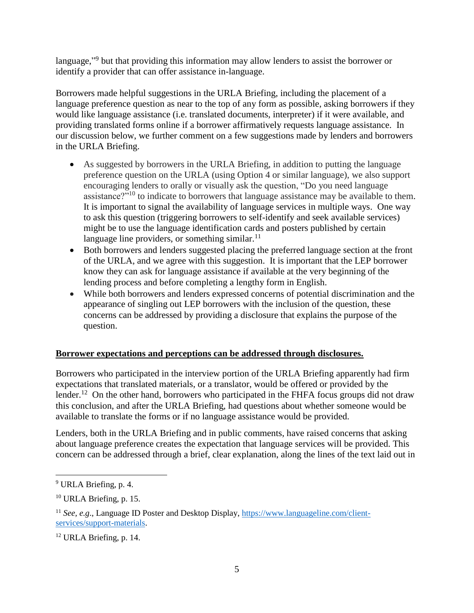language,"<sup>9</sup> but that providing this information may allow lenders to assist the borrower or identify a provider that can offer assistance in-language.

Borrowers made helpful suggestions in the URLA Briefing, including the placement of a language preference question as near to the top of any form as possible, asking borrowers if they would like language assistance (i.e. translated documents, interpreter) if it were available, and providing translated forms online if a borrower affirmatively requests language assistance. In our discussion below, we further comment on a few suggestions made by lenders and borrowers in the URLA Briefing.

- As suggested by borrowers in the URLA Briefing, in addition to putting the language preference question on the URLA (using Option 4 or similar language), we also support encouraging lenders to orally or visually ask the question, "Do you need language assistance?"<sup>10</sup> to indicate to borrowers that language assistance may be available to them. It is important to signal the availability of language services in multiple ways. One way to ask this question (triggering borrowers to self-identify and seek available services) might be to use the language identification cards and posters published by certain language line providers, or something similar. $^{11}$
- Both borrowers and lenders suggested placing the preferred language section at the front of the URLA, and we agree with this suggestion. It is important that the LEP borrower know they can ask for language assistance if available at the very beginning of the lending process and before completing a lengthy form in English.
- While both borrowers and lenders expressed concerns of potential discrimination and the appearance of singling out LEP borrowers with the inclusion of the question, these concerns can be addressed by providing a disclosure that explains the purpose of the question.

## **Borrower expectations and perceptions can be addressed through disclosures.**

Borrowers who participated in the interview portion of the URLA Briefing apparently had firm expectations that translated materials, or a translator, would be offered or provided by the lender.<sup>12</sup> On the other hand, borrowers who participated in the FHFA focus groups did not draw this conclusion, and after the URLA Briefing, had questions about whether someone would be available to translate the forms or if no language assistance would be provided.

Lenders, both in the URLA Briefing and in public comments, have raised concerns that asking about language preference creates the expectation that language services will be provided. This concern can be addressed through a brief, clear explanation, along the lines of the text laid out in

 $\overline{\phantom{a}}$ 

<sup>9</sup> URLA Briefing, p. 4.

 $10$  URLA Briefing, p. 15.

<sup>11</sup> *See, e.g*., Language ID Poster and Desktop Display, [https://www.languageline.com/client](https://www.languageline.com/client-services/support-materials)[services/support-materials.](https://www.languageline.com/client-services/support-materials)

<sup>12</sup> URLA Briefing, p. 14.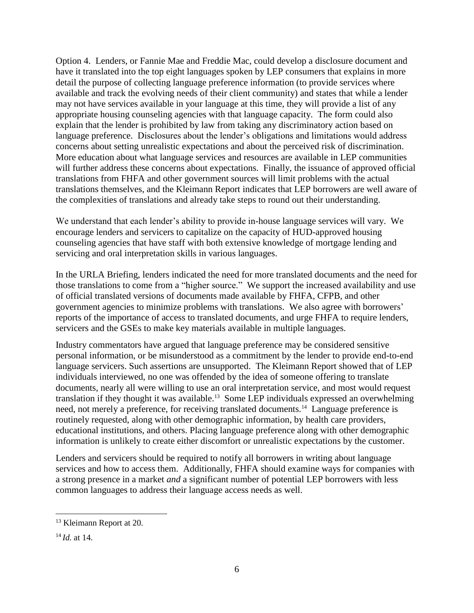Option 4. Lenders, or Fannie Mae and Freddie Mac, could develop a disclosure document and have it translated into the top eight languages spoken by LEP consumers that explains in more detail the purpose of collecting language preference information (to provide services where available and track the evolving needs of their client community) and states that while a lender may not have services available in your language at this time, they will provide a list of any appropriate housing counseling agencies with that language capacity. The form could also explain that the lender is prohibited by law from taking any discriminatory action based on language preference. Disclosures about the lender's obligations and limitations would address concerns about setting unrealistic expectations and about the perceived risk of discrimination. More education about what language services and resources are available in LEP communities will further address these concerns about expectations. Finally, the issuance of approved official translations from FHFA and other government sources will limit problems with the actual translations themselves, and the Kleimann Report indicates that LEP borrowers are well aware of the complexities of translations and already take steps to round out their understanding.

We understand that each lender's ability to provide in-house language services will vary. We encourage lenders and servicers to capitalize on the capacity of HUD-approved housing counseling agencies that have staff with both extensive knowledge of mortgage lending and servicing and oral interpretation skills in various languages.

In the URLA Briefing, lenders indicated the need for more translated documents and the need for those translations to come from a "higher source." We support the increased availability and use of official translated versions of documents made available by FHFA, CFPB, and other government agencies to minimize problems with translations. We also agree with borrowers' reports of the importance of access to translated documents, and urge FHFA to require lenders, servicers and the GSEs to make key materials available in multiple languages.

Industry commentators have argued that language preference may be considered sensitive personal information, or be misunderstood as a commitment by the lender to provide end-to-end language servicers. Such assertions are unsupported. The Kleimann Report showed that of LEP individuals interviewed, no one was offended by the idea of someone offering to translate documents, nearly all were willing to use an oral interpretation service, and most would request translation if they thought it was available.<sup>13</sup> Some LEP individuals expressed an overwhelming need, not merely a preference, for receiving translated documents.<sup>14</sup> Language preference is routinely requested, along with other demographic information, by health care providers, educational institutions, and others. Placing language preference along with other demographic information is unlikely to create either discomfort or unrealistic expectations by the customer.

Lenders and servicers should be required to notify all borrowers in writing about language services and how to access them. Additionally, FHFA should examine ways for companies with a strong presence in a market *and* a significant number of potential LEP borrowers with less common languages to address their language access needs as well.

 $\overline{\phantom{a}}$ 

<sup>13</sup> Kleimann Report at 20.

<sup>14</sup> *Id.* at 14.